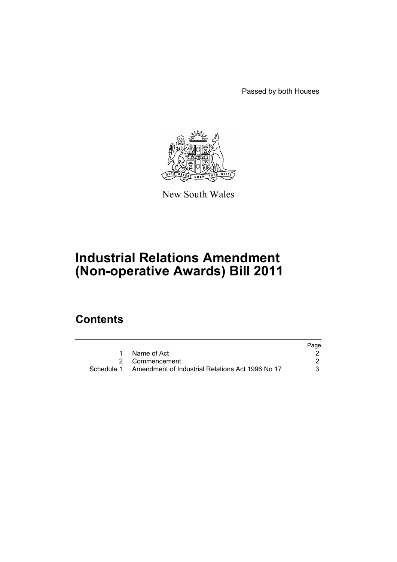Passed by both Houses



New South Wales

# **Industrial Relations Amendment (Non-operative Awards) Bill 2011**

## **Contents**

|                                                             | Page |
|-------------------------------------------------------------|------|
| Name of Act                                                 |      |
| 2 Commencement                                              |      |
| Schedule 1 Amendment of Industrial Relations Act 1996 No 17 | 3.   |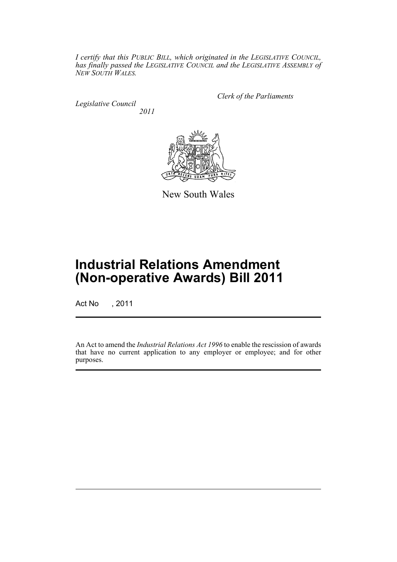*I certify that this PUBLIC BILL, which originated in the LEGISLATIVE COUNCIL, has finally passed the LEGISLATIVE COUNCIL and the LEGISLATIVE ASSEMBLY of NEW SOUTH WALES.*

*Legislative Council 2011* *Clerk of the Parliaments*



New South Wales

## **Industrial Relations Amendment (Non-operative Awards) Bill 2011**

Act No , 2011

An Act to amend the *Industrial Relations Act 1996* to enable the rescission of awards that have no current application to any employer or employee; and for other purposes.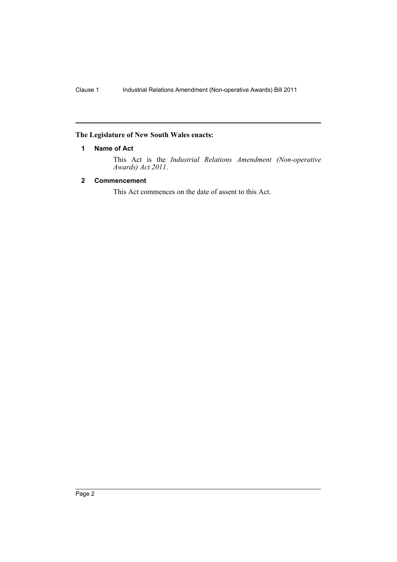### <span id="page-3-0"></span>**The Legislature of New South Wales enacts:**

#### **1 Name of Act**

This Act is the *Industrial Relations Amendment (Non-operative Awards) Act 2011*.

#### <span id="page-3-1"></span>**2 Commencement**

This Act commences on the date of assent to this Act.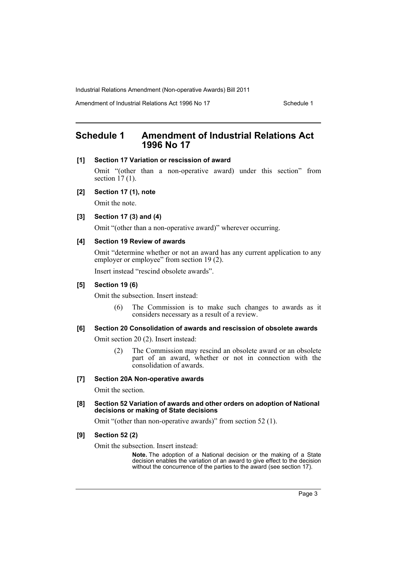Industrial Relations Amendment (Non-operative Awards) Bill 2011

Amendment of Industrial Relations Act 1996 No 17 Schedule 1

## <span id="page-4-0"></span>**Schedule 1 Amendment of Industrial Relations Act 1996 No 17**

#### **[1] Section 17 Variation or rescission of award**

Omit "(other than a non-operative award) under this section" from section  $17(1)$ .

#### **[2] Section 17 (1), note**

Omit the note.

#### **[3] Section 17 (3) and (4)**

Omit "(other than a non-operative award)" wherever occurring.

#### **[4] Section 19 Review of awards**

Omit "determine whether or not an award has any current application to any employer or employee" from section 19 (2).

Insert instead "rescind obsolete awards".

#### **[5] Section 19 (6)**

Omit the subsection. Insert instead:

(6) The Commission is to make such changes to awards as it considers necessary as a result of a review.

#### **[6] Section 20 Consolidation of awards and rescission of obsolete awards**

Omit section 20 (2). Insert instead:

(2) The Commission may rescind an obsolete award or an obsolete part of an award, whether or not in connection with the consolidation of awards.

#### **[7] Section 20A Non-operative awards**

Omit the section.

**[8] Section 52 Variation of awards and other orders on adoption of National decisions or making of State decisions**

Omit "(other than non-operative awards)" from section 52 (1).

#### **[9] Section 52 (2)**

Omit the subsection. Insert instead:

**Note.** The adoption of a National decision or the making of a State decision enables the variation of an award to give effect to the decision without the concurrence of the parties to the award (see section 17).